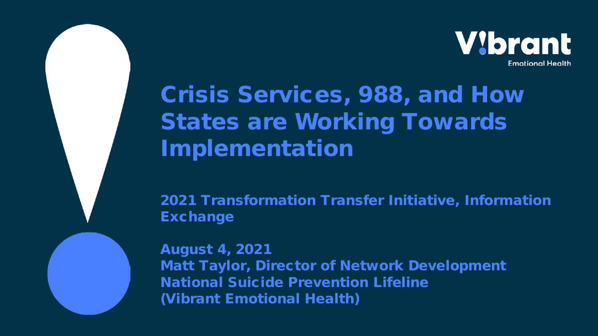

# Crisis Services, 988, and How States are Working Towards Implementation

2021 Transformation Transfer Initiative, Information Exchange

August 4, 2021 Matt Taylor, Director of Network Development National Suicide Prevention Lifeline (Vibrant Emotional Health)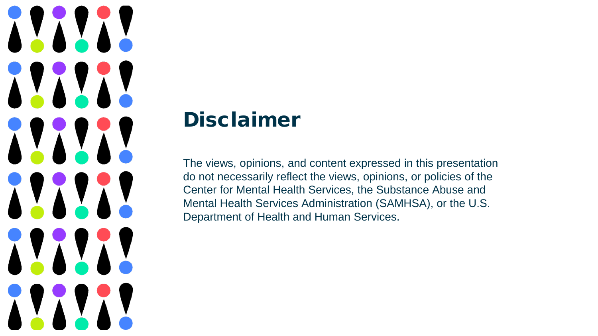# XXXXXX **ALALAM** XXXXX 11111 11111 XXXXXX

### Disclaimer

The views, opinions, and content expressed in this presentation do not necessarily reflect the views, opinions, or policies of the Center for Mental Health Services, the Substance Abuse and Mental Health Services Administration (SAMHSA), or the U.S. Department of Health and Human Services.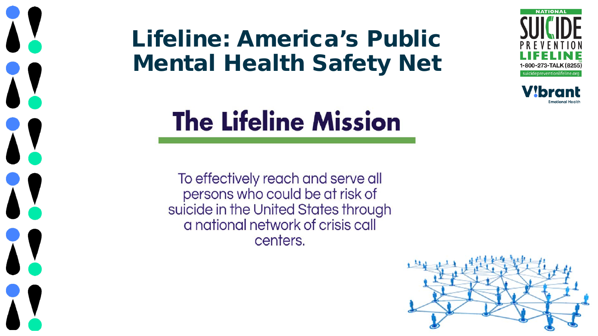# Lifeline: America's Public Mental Health Safety Net

 $\mathbf{A}$ 

1!

XX

X



To effectively reach and serve all persons who could be at risk of suicide in the United States through a national network of crisis call centers.





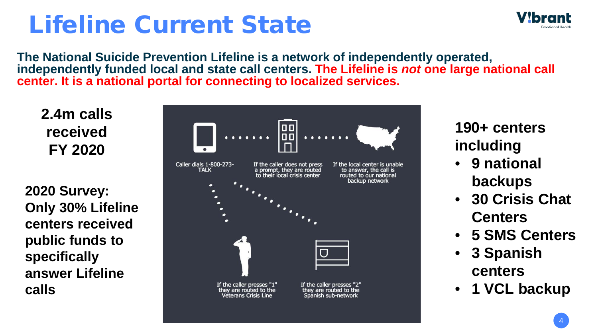# Lifeline Current State



**The National Suicide Prevention Lifeline is a network of independently operated, independently funded local and state call centers. The Lifeline is** *not* **one large national call center. It is a national portal for connecting to localized services.**

**2.4m calls received FY 2020**

**2020 Survey: Only 30% Lifeline centers received public funds to specifically answer Lifeline calls**



#### **190+ centers including**

- **9 national backups**
- **30 Crisis Chat Centers**
- **5 SMS Centers**
- **3 Spanish centers**
- **1 VCL backup**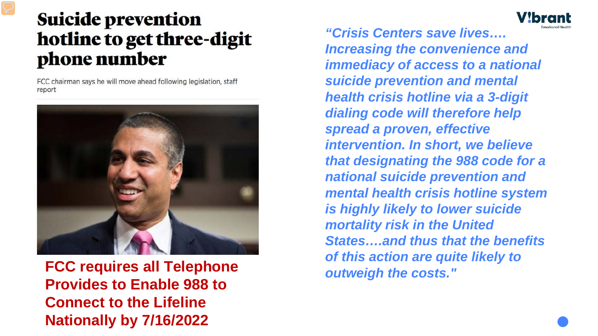#### **Suicide prevention** hotline to get three-digit phone number

FCC chairman says he will move ahead following legislation, staff report



**FCC requires all Telephone Provides to Enable 988 to Connect to the Lifeline Nationally by 7/16/2022**

*"Crisis Centers save lives…. Increasing the convenience and immediacy of access to a national suicide prevention and mental health crisis hotline via a 3-digit dialing code will therefore help spread a proven, effective intervention. In short, we believe that designating the 988 code for a national suicide prevention and mental health crisis hotline system is highly likely to lower suicide mortality risk in the United States….and thus that the benefits of this action are quite likely to outweigh the costs."*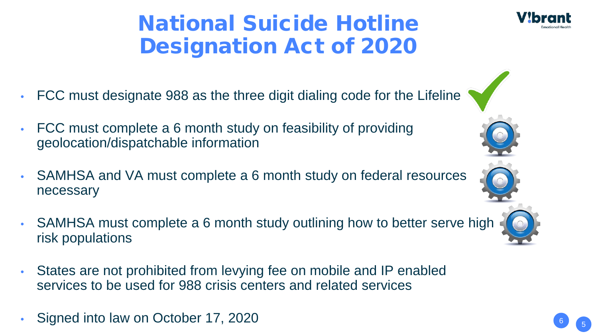### National Suicide Hotline Designation Act of 2020

- FCC must designate 988 as the three digit dialing code for the Lifeline
- FCC must complete a 6 month study on feasibility of providing geolocation/dispatchable information
- SAMHSA and VA must complete a 6 month study on federal resources necessary
- SAMHSA must complete a 6 month study outlining how to better serve high risk populations
- States are not prohibited from levying fee on mobile and IP enabled services to be used for 988 crisis centers and related services
- Signed into law on October 17, 2020



6

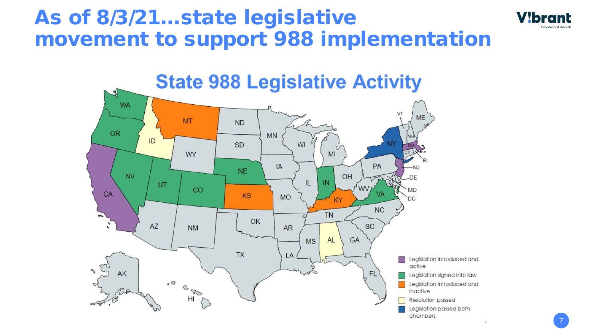### As of 8/3/21…state legislative movement to support 988 implementation





7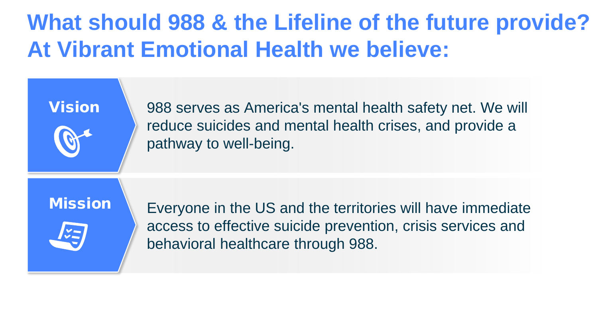### **What should 988 & the Lifeline of the future provide? At Vibrant Emotional Health we believe:**

988 serves as America's mental health safety net. We will reduce suicides and mental health crises, and provide a pathway to well-being.

#### **Mission**

Vision



Everyone in the US and the territories will have immediate access to effective suicide prevention, crisis services and behavioral healthcare through 988.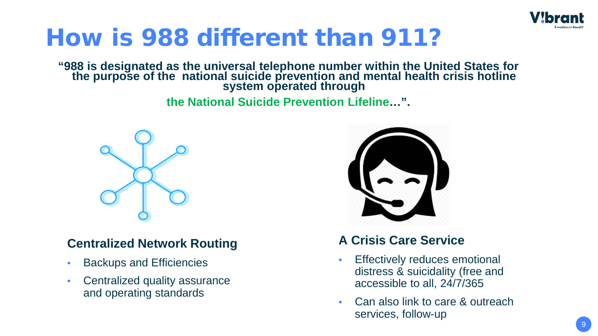

## How is 988 different than 911?

**"988 is designated as the universal telephone number within the United States for the purpose of the national suicide prevention and mental health crisis hotline system operated through** 

**the National Suicide Prevention Lifeline…".**



#### **Centralized Network Routing**

- Backups and Efficiencies
- Centralized quality assurance and operating standards



#### **A Crisis Care Service**

- Effectively reduces emotional distress & suicidality (free and accessible to all, 24/7/365
- Can also link to care & outreach services, follow-up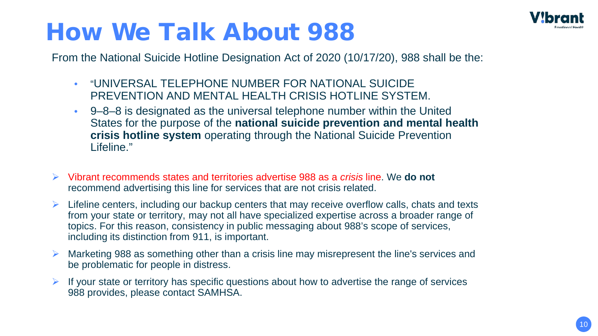

# How We Talk About 988

From the National Suicide Hotline Designation Act of 2020 (10/17/20), 988 shall be the:

- "UNIVERSAL TELEPHONE NUMBER FOR NATIONAL SUICIDE PREVENTION AND MENTAL HEALTH CRISIS HOTLINE SYSTEM.
- 9–8–8 is designated as the universal telephone number within the United States for the purpose of the **national suicide prevention and mental health crisis hotline system** operating through the National Suicide Prevention Lifeline."
- Vibrant recommends states and territories advertise 988 as a *crisis* line. We **do not** recommend advertising this line for services that are not crisis related.
- $\triangleright$  Lifeline centers, including our backup centers that may receive overflow calls, chats and texts from your state or territory, may not all have specialized expertise across a broader range of topics. For this reason, consistency in public messaging about 988's scope of services, including its distinction from 911, is important.
- Marketing 988 as something other than a crisis line may misrepresent the line's services and be problematic for people in distress.
- If your state or territory has specific questions about how to advertise the range of services 988 provides, please contact SAMHSA.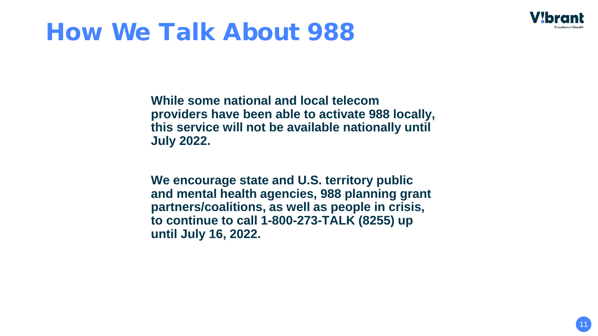

# How We Talk About 988

**While some national and local telecom providers have been able to activate 988 locally, this service will not be available nationally until July 2022.** 

**We encourage state and U.S. territory public and mental health agencies, 988 planning grant partners/coalitions, as well as people in crisis, to continue to call 1-800-273-TALK (8255) up until July 16, 2022.**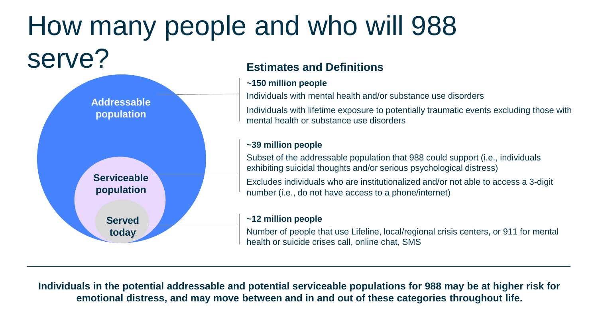#### How many people and who will 988 serve? **Estimates and Definitions**



**Individuals in the potential addressable and potential serviceable populations for 988 may be at higher risk for emotional distress, and may move between and in and out of these categories throughout life.**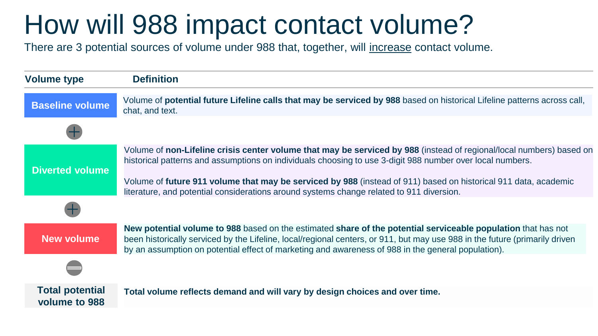# How will 988 impact contact volume?

There are 3 potential sources of volume under 988 that, together, will increase contact volume.

| <b>Volume type</b>                      | <b>Definition</b>                                                                                                                                                                                                                                                                                                                                                                                                                                |
|-----------------------------------------|--------------------------------------------------------------------------------------------------------------------------------------------------------------------------------------------------------------------------------------------------------------------------------------------------------------------------------------------------------------------------------------------------------------------------------------------------|
| <b>Baseline volume</b>                  | Volume of <b>potential future Lifeline calls that may be serviced by 988</b> based on historical Lifeline patterns across call,<br>chat, and text.                                                                                                                                                                                                                                                                                               |
|                                         |                                                                                                                                                                                                                                                                                                                                                                                                                                                  |
| <b>Diverted volume</b>                  | Volume of non-Lifeline crisis center volume that may be serviced by 988 (instead of regional/local numbers) based on<br>historical patterns and assumptions on individuals choosing to use 3-digit 988 number over local numbers.<br>Volume of future 911 volume that may be serviced by 988 (instead of 911) based on historical 911 data, academic<br>literature, and potential considerations around systems change related to 911 diversion. |
|                                         |                                                                                                                                                                                                                                                                                                                                                                                                                                                  |
| <b>New volume</b>                       | New potential volume to 988 based on the estimated share of the potential serviceable population that has not<br>been historically serviced by the Lifeline, local/regional centers, or 911, but may use 988 in the future (primarily driven<br>by an assumption on potential effect of marketing and awareness of 988 in the general population).                                                                                               |
|                                         |                                                                                                                                                                                                                                                                                                                                                                                                                                                  |
| <b>Total potential</b><br>volume to 988 | Total volume reflects demand and will vary by design choices and over time.                                                                                                                                                                                                                                                                                                                                                                      |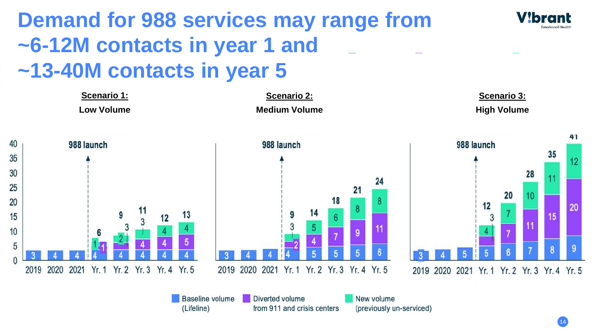### **Demand for 988 services may range from ~6-12M contacts in year 1 and ~13-40M contacts in year 5**



14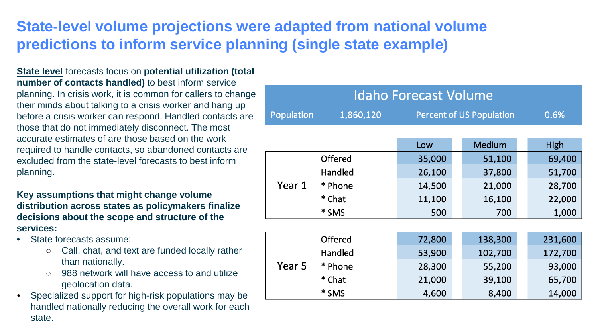#### **State-level volume projections were adapted from national volume predictions to inform service planning (single state example)**

**State level** forecasts focus on **potential utilization (total number of contacts handled)** to best inform service planning. In crisis work, it is common for callers to change their minds about talking to a crisis worker and hang up before a crisis worker can respond. Handled contacts are those that do not immediately disconnect. The most accurate estimates of are those based on the work required to handle contacts, so abandoned contacts are excluded from the state-level forecasts to best inform planning.

**Key assumptions that might change volume distribution across states as policymakers finalize decisions about the scope and structure of the services:**

- State forecasts assume:
	- Call, chat, and text are funded locally rather than nationally.
	- 988 network will have access to and utilize geolocation data.
- Specialized support for high-risk populations may be handled nationally reducing the overall work for each state.

| <b>Idaho Forecast Volume</b> |           |                                 |               |         |  |
|------------------------------|-----------|---------------------------------|---------------|---------|--|
| <b>Population</b>            | 1,860,120 | <b>Percent of US Population</b> |               | 0.6%    |  |
|                              |           |                                 |               |         |  |
|                              |           | Low                             | <b>Medium</b> | High    |  |
|                              | Offered   | 35,000                          | 51,100        | 69,400  |  |
|                              | Handled   | 26,100                          | 37,800        | 51,700  |  |
| Year 1                       | * Phone   | 14,500                          | 21,000        | 28,700  |  |
|                              | * Chat    | 11,100                          | 16,100        | 22,000  |  |
|                              | * SMS     | 500                             | 700           | 1,000   |  |
|                              |           |                                 |               |         |  |
|                              | Offered   | 72,800                          | 138,300       | 231,600 |  |
| Year 5                       | Handled   | 53,900                          | 102,700       | 172,700 |  |
|                              | * Phone   | 28,300                          | 55,200        | 93,000  |  |
|                              | * Chat    | 21,000                          | 39,100        | 65,700  |  |
|                              | * SMS     | 4,600                           | 8,400         | 14,000  |  |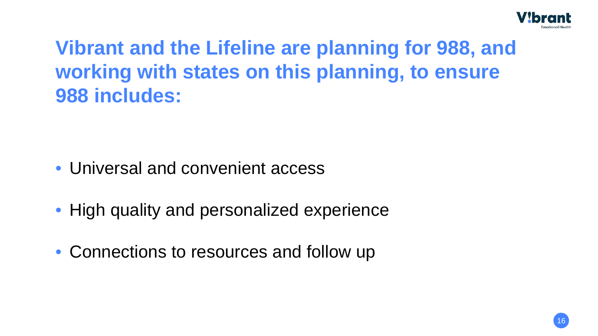

### **Vibrant and the Lifeline are planning for 988, and working with states on this planning, to ensure 988 includes:**

- Universal and convenient access
- High quality and personalized experience
- Connections to resources and follow up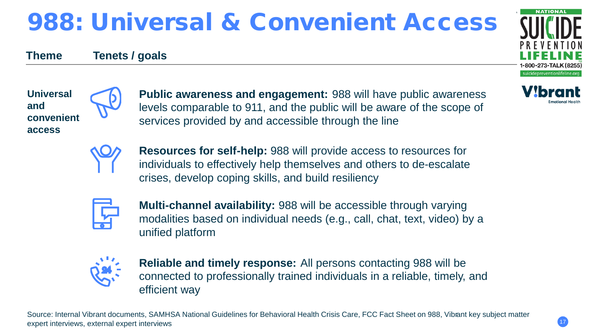# 988: Universal & Convenient Access

#### **Theme Tenets / goals**



**NATIONAL** 



**Public awareness and engagement:** 988 will have public awareness levels comparable to 911, and the public will be aware of the scope of services provided by and accessible through the line





**Resources for self-help:** 988 will provide access to resources for individuals to effectively help themselves and others to de-escalate crises, develop coping skills, and build resiliency

**Multi-channel availability:** 988 will be accessible through varying modalities based on individual needs (e.g., call, chat, text, video) by a unified platform



**Reliable and timely response:** All persons contacting 988 will be connected to professionally trained individuals in a reliable, timely, and efficient way

Source: Internal Vibrant documents, SAMHSA National Guidelines for Behavioral Health Crisis Care, FCC Fact Sheet on 988, Vibrant key subject matter expert interviews, external expert interviews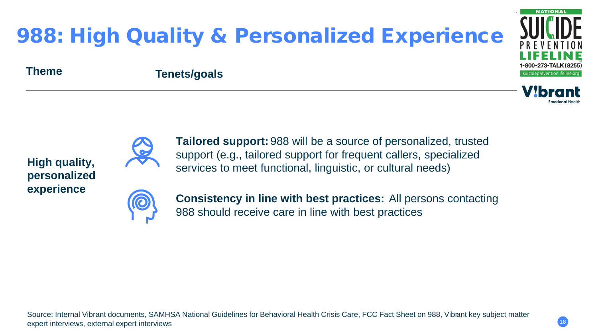

### 988: High Quality & Personalized Experience

#### **Theme Tenets/goals**



**High quality, personalized experience**



**Tailored support:** 988 will be a source of personalized, trusted support (e.g., tailored support for frequent callers, specialized services to meet functional, linguistic, or cultural needs)



**Consistency in line with best practices:** All persons contacting 988 should receive care in line with best practices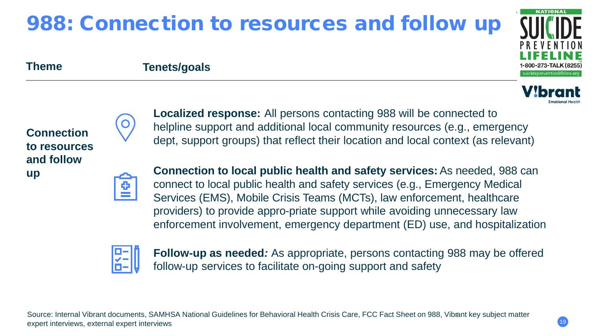### 988: Connection to resources and follow up



#### **Theme Tenets/goals**



**Localized response:** All persons contacting 988 will be connected to helpline support and additional local community resources (e.g., emergency dept, support groups) that reflect their location and local context (as relevant)

**Connection to local public health and safety services:** As needed, 988 can connect to local public health and safety services (e.g., Emergency Medical Services (EMS), Mobile Crisis Teams (MCTs), law enforcement, healthcare providers) to provide appro-priate support while avoiding unnecessary law enforcement involvement, emergency department (ED) use, and hospitalization



**Follow-up as needed***:* As appropriate, persons contacting 988 may be offered follow-up services to facilitate on-going support and safety

Source: Internal Vibrant documents, SAMHSA National Guidelines for Behavioral Health Crisis Care, FCC Fact Sheet on 988, Vibrant key subject matter expert interviews, external expert interviews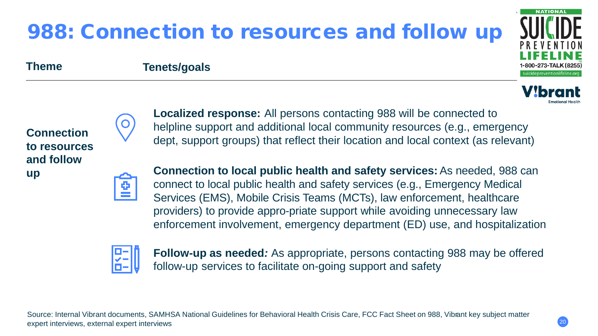#### Source: Internal Vibrant documents, SAMHSA National Guidelines for Behavioral Health Crisis Care, FCC Fact Sheet on 988, Vibrant key subject matter expert interviews, external expert interviews

follow-up services to facilitate on-going support and safety

# 988: Connection to resources and follow up

**Theme Tenets/goals**

**Connection to resources and follow up** 

**Connection to local public health and safety services:** As needed, 988 can connect to local public health and safety services (e.g., Emergency Medical Services (EMS), Mobile Crisis Teams (MCTs), law enforcement, healthcare providers) to provide appro-priate support while avoiding unnecessary law enforcement involvement, emergency department (ED) use, and hospitalization

**Follow-up as needed***:* As appropriate, persons contacting 988 may be offered

**Localized response:** All persons contacting 988 will be connected to

helpline support and additional local community resources (e.g., emergency





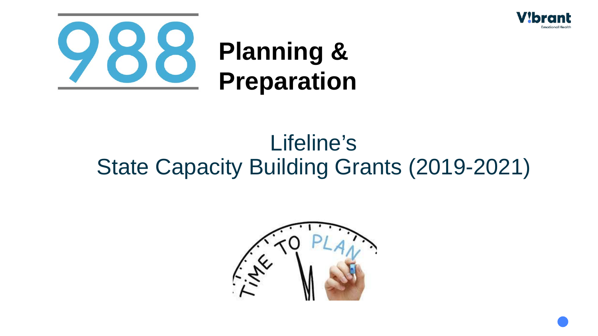



# Lifeline's State Capacity Building Grants (2019-2021)

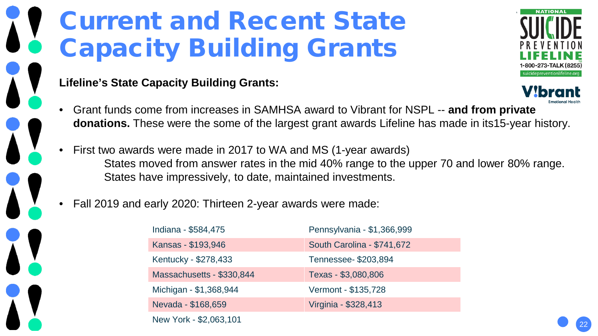# Current and Recent State Capacity Building Grants

#### **Lifeline's State Capacity Building Grants:**



- Grant funds come from increases in SAMHSA award to Vibrant for NSPL -- **and from private donations.** These were the some of the largest grant awards Lifeline has made in its15-year history.
- First two awards were made in 2017 to WA and MS (1-year awards) States moved from answer rates in the mid 40% range to the upper 70 and lower 80% range. States have impressively, to date, maintained investments.

• Fall 2019 and early 2020: Thirteen 2-year awards were made:

| Indiana - \$584,475       | Pennsylvania - \$1,366,999 |  |  |  |
|---------------------------|----------------------------|--|--|--|
| Kansas - \$193,946        | South Carolina - \$741,672 |  |  |  |
| Kentucky - \$278,433      | Tennessee- \$203,894       |  |  |  |
| Massachusetts - \$330,844 | Texas - \$3,080,806        |  |  |  |
| Michigan - \$1,368,944    | Vermont - \$135,728        |  |  |  |
| Nevada - \$168,659        | Virginia - \$328,413       |  |  |  |
| New York - \$2,063,101    |                            |  |  |  |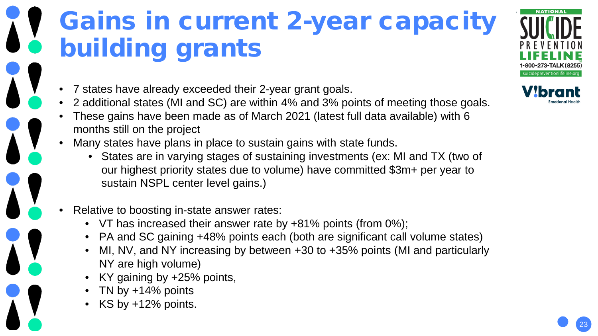# Gains in current 2-year capacity building grants

suicidepreventionlifeline.org

- 7 states have already exceeded their 2-year grant goals.
- 2 additional states (MI and SC) are within 4% and 3% points of meeting those goals.
- These gains have been made as of March 2021 (latest full data available) with 6 months still on the project
- Many states have plans in place to sustain gains with state funds.
	- States are in varying stages of sustaining investments (ex: MI and TX (two of our highest priority states due to volume) have committed \$3m+ per year to sustain NSPL center level gains.)
- Relative to boosting in-state answer rates:
	- VT has increased their answer rate by +81% points (from 0%);
	- PA and SC gaining +48% points each (both are significant call volume states)
	- MI, NV, and NY increasing by between +30 to +35% points (MI and particularly NY are high volume)
	- KY gaining by +25% points,
	- TN by  $+14%$  points
	- $KS$  by  $+12\%$  points.

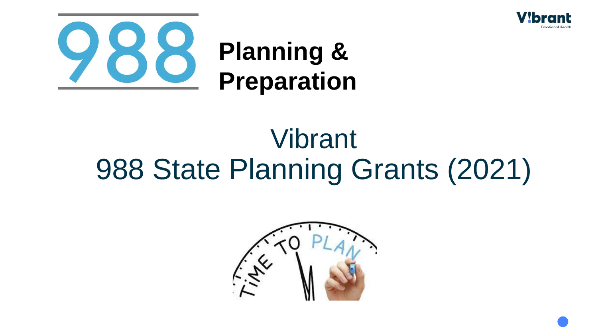



# Vibrant 988 State Planning Grants (2021)

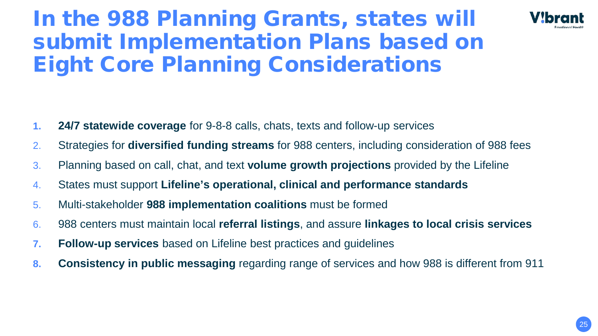### In the 988 Planning Grants, states will submit Implementation Plans based on Eight Core Planning Considerations



- **1. 24/7 statewide coverage** for 9-8-8 calls, chats, texts and follow-up services
- 2. Strategies for **diversified funding streams** for 988 centers, including consideration of 988 fees
- 3. Planning based on call, chat, and text **volume growth projections** provided by the Lifeline
- 4. States must support **Lifeline's operational, clinical and performance standards**
- 5. Multi-stakeholder **988 implementation coalitions** must be formed
- 6. 988 centers must maintain local **referral listings**, and assure **linkages to local crisis services**
- **7. Follow-up services** based on Lifeline best practices and guidelines
- **8. Consistency in public messaging** regarding range of services and how 988 is different from 911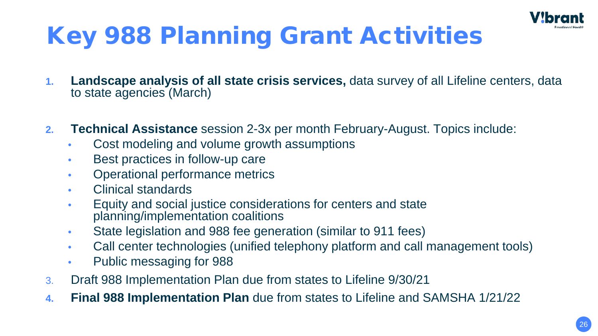

# Key 988 Planning Grant Activities

- **1. Landscape analysis of all state crisis services,** data survey of all Lifeline centers, data to state agencies (March)
- **2. Technical Assistance** session 2-3x per month February-August. Topics include:
	- Cost modeling and volume growth assumptions
	- Best practices in follow-up care
	- Operational performance metrics
	- Clinical standards
	- Equity and social justice considerations for centers and state planning/implementation coalitions
	- State legislation and 988 fee generation (similar to 911 fees)
	- Call center technologies (unified telephony platform and call management tools)
	- Public messaging for 988
- 3. Draft 988 Implementation Plan due from states to Lifeline 9/30/21
- **4. Final 988 Implementation Plan** due from states to Lifeline and SAMSHA 1/21/22